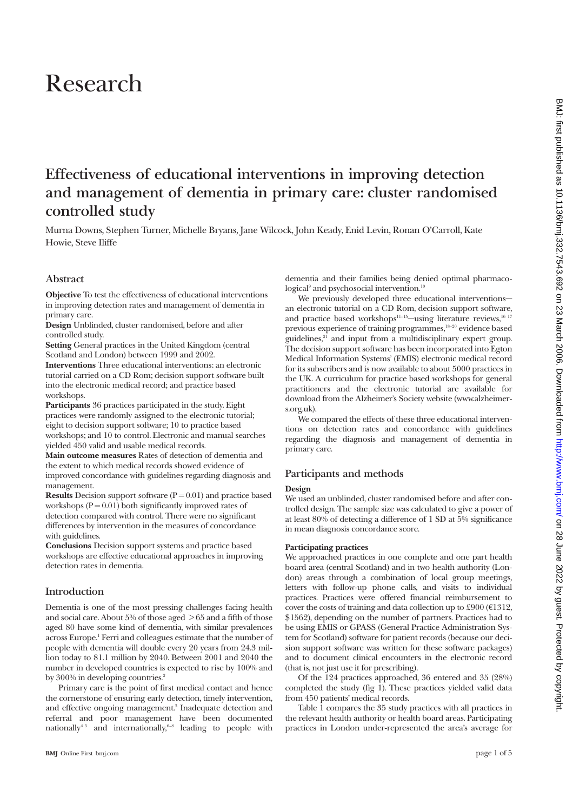BMJ: first published as 10.1136/bmj.332.7543.692 on 23 March 2006. Downloaded from http://www.bmj.com/ on 28 June 2022 by guest. Protected by copyright DRIST: tilst protected by drags. Protected by 29 Nation 2006. Downloaded from Erry: www.bmj.com/ on 23 March 2007 on 23 March 2012. The 2007 on 23 March 2007 on 23 March 2012. The 2012 on 23 March 2006. Downloaded from Her

# Research

# **Effectiveness of educational interventions in improving detection and management of dementia in primary care: cluster randomised controlled study**

Murna Downs, Stephen Turner, Michelle Bryans, Jane Wilcock, John Keady, Enid Levin, Ronan O'Carroll, Kate Howie, Steve Iliffe

# **Abstract**

**Objective** To test the effectiveness of educational interventions in improving detection rates and management of dementia in primary care.

**Design** Unblinded, cluster randomised, before and after controlled study.

**Setting** General practices in the United Kingdom (central Scotland and London) between 1999 and 2002.

**Interventions** Three educational interventions: an electronic tutorial carried on a CD Rom; decision support software built into the electronic medical record; and practice based workshops.

**Participants** 36 practices participated in the study. Eight practices were randomly assigned to the electronic tutorial; eight to decision support software; 10 to practice based workshops; and 10 to control. Electronic and manual searches yielded 450 valid and usable medical records.

**Main outcome measures** Rates of detection of dementia and the extent to which medical records showed evidence of improved concordance with guidelines regarding diagnosis and management.

**Results** Decision support software  $(P = 0.01)$  and practice based workshops  $(P = 0.01)$  both significantly improved rates of detection compared with control. There were no significant differences by intervention in the measures of concordance with guidelines.

**Conclusions** Decision support systems and practice based workshops are effective educational approaches in improving detection rates in dementia.

# **Introduction**

Dementia is one of the most pressing challenges facing health and social care. About 5% of those aged  $>65$  and a fifth of those aged 80 have some kind of dementia, with similar prevalences across Europe.1 Ferri and colleagues estimate that the number of people with dementia will double every 20 years from 24.3 million today to 81.1 million by 2040. Between 2001 and 2040 the number in developed countries is expected to rise by 100% and by 300% in developing countries.<sup>2</sup>

Primary care is the point of first medical contact and hence the cornerstone of ensuring early detection, timely intervention, and effective ongoing management.3 Inadequate detection and referral and poor management have been documented nationally<sup>45</sup> and internationally,<sup>6-8</sup> leading to people with dementia and their families being denied optimal pharmaco $logical<sup>9</sup>$  and psychosocial intervention.<sup>10</sup>

We previously developed three educational interventions an electronic tutorial on a CD Rom, decision support software, and practice based workshops $11-15$ —using literature reviews, $16$  17 previous experience of training programmes,<sup>18–20</sup> evidence based guidelines, $2i$  and input from a multidisciplinary expert group. The decision support software has been incorporated into Egton Medical Information Systems' (EMIS) electronic medical record for its subscribers and is now available to about 5000 practices in the UK. A curriculum for practice based workshops for general practitioners and the electronic tutorial are available for download from the Alzheimer's Society website (www.alzheimers.org.uk).

We compared the effects of these three educational interventions on detection rates and concordance with guidelines regarding the diagnosis and management of dementia in primary care.

# **Participants and methods**

# **Design**

We used an unblinded, cluster randomised before and after controlled design. The sample size was calculated to give a power of at least 80% of detecting a difference of 1 SD at 5% significance in mean diagnosis concordance score.

#### **Participating practices**

We approached practices in one complete and one part health board area (central Scotland) and in two health authority (London) areas through a combination of local group meetings, letters with follow-up phone calls, and visits to individual practices. Practices were offered financial reimbursement to cover the costs of training and data collection up to £900 ( $€1312$ , \$1562), depending on the number of partners. Practices had to be using EMIS or GPASS (General Practice Administration System for Scotland) software for patient records (because our decision support software was written for these software packages) and to document clinical encounters in the electronic record (that is, not just use it for prescribing).

Of the 124 practices approached, 36 entered and 35 (28%) completed the study (fig 1). These practices yielded valid data from 450 patients' medical records.

Table 1 compares the 35 study practices with all practices in the relevant health authority or health board areas. Participating practices in London under-represented the area's average for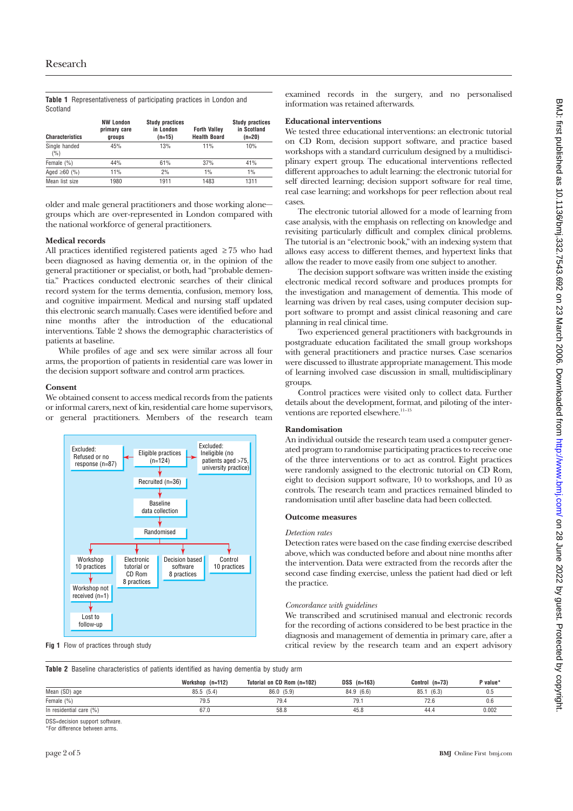**Table 1** Representativeness of participating practices in London and **Scotland** 

| <b>Characteristics</b> | <b>NW London</b><br>primary care<br>groups | <b>Study practices</b><br>in London<br>$(n=15)$ | <b>Forth Valley</b><br><b>Health Board</b> | <b>Study practices</b><br>in Scotland<br>$(n=20)$ |
|------------------------|--------------------------------------------|-------------------------------------------------|--------------------------------------------|---------------------------------------------------|
| Single handed<br>(%)   | 45%                                        | 13%                                             | 11%                                        | 10%                                               |
| Female (%)             | 44%                                        | 61%                                             | 37%                                        | 41%                                               |
| Aged $\geq 60$ (%)     | 11%                                        | 2%                                              | 1%                                         | 1%                                                |
| Mean list size         | 1980                                       | 1911                                            | 1483                                       | 1311                                              |
|                        |                                            |                                                 |                                            |                                                   |

older and male general practitioners and those working alone groups which are over-represented in London compared with the national workforce of general practitioners.

# **Medical records**

All practices identified registered patients aged ≥ 75 who had been diagnosed as having dementia or, in the opinion of the general practitioner or specialist, or both, had "probable dementia." Practices conducted electronic searches of their clinical record system for the terms dementia, confusion, memory loss, and cognitive impairment. Medical and nursing staff updated this electronic search manually. Cases were identified before and nine months after the introduction of the educational interventions. Table 2 shows the demographic characteristics of patients at baseline.

While profiles of age and sex were similar across all four arms, the proportion of patients in residential care was lower in the decision support software and control arm practices.

# **Consent**

We obtained consent to access medical records from the patients or informal carers, next of kin, residential care home supervisors, or general practitioners. Members of the research team



**Fig 1** Flow of practices through study

examined records in the surgery, and no personalised information was retained afterwards.

# **Educational interventions**

We tested three educational interventions: an electronic tutorial on CD Rom, decision support software, and practice based workshops with a standard curriculum designed by a multidisciplinary expert group. The educational interventions reflected different approaches to adult learning: the electronic tutorial for self directed learning; decision support software for real time, real case learning; and workshops for peer reflection about real cases.

The electronic tutorial allowed for a mode of learning from case analysis, with the emphasis on reflecting on knowledge and revisiting particularly difficult and complex clinical problems. The tutorial is an "electronic book," with an indexing system that allows easy access to different themes, and hypertext links that allow the reader to move easily from one subject to another.

The decision support software was written inside the existing electronic medical record software and produces prompts for the investigation and management of dementia. This mode of learning was driven by real cases, using computer decision support software to prompt and assist clinical reasoning and care planning in real clinical time.

Two experienced general practitioners with backgrounds in postgraduate education facilitated the small group workshops with general practitioners and practice nurses. Case scenarios were discussed to illustrate appropriate management. This mode of learning involved case discussion in small, multidisciplinary groups.

Control practices were visited only to collect data. Further details about the development, format, and piloting of the interventions are reported elsewhere.<sup>11-15</sup>

# **Randomisation**

An individual outside the research team used a computer generated program to randomise participating practices to receive one of the three interventions or to act as control. Eight practices were randomly assigned to the electronic tutorial on CD Rom, eight to decision support software, 10 to workshops, and 10 as controls. The research team and practices remained blinded to randomisation until after baseline data had been collected.

# **Outcome measures**

# *Detection rates*

Detection rates were based on the case finding exercise described above, which was conducted before and about nine months after the intervention. Data were extracted from the records after the second case finding exercise, unless the patient had died or left the practice.

# *Concordance with guidelines*

We transcribed and scrutinised manual and electronic records for the recording of actions considered to be best practice in the diagnosis and management of dementia in primary care, after a critical review by the research team and an expert advisory

**Table 2** Baseline characteristics of patients identified as having dementia by study arm

|                         | Workshop (n=112) | Tutorial on CD Rom (n=102) | $DSS$ (n=163) | Control $(n=73)$ | P value* |
|-------------------------|------------------|----------------------------|---------------|------------------|----------|
| Mean (SD) age           | 85.5(5.4)        | 86.0 (5.9)                 | 84.9(6.6)     | 85.1(6.3)        | U.5      |
| Female (%)              | 79.5             | 79.4                       | 79.1          | 72.6             | 0.6      |
| In residential care (%) | 67.0             | 58.8                       | 45.8          | 44.4             | 0.002    |

DSS=decision support software.

\*For difference between arms.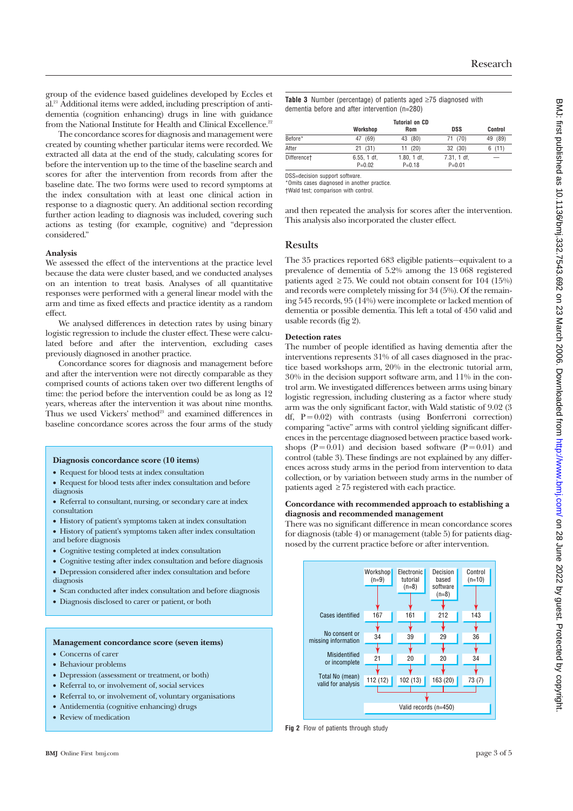group of the evidence based guidelines developed by Eccles et al.21 Additional items were added, including prescription of antidementia (cognition enhancing) drugs in line with guidance from the National Institute for Health and Clinical Excellence.<sup>22</sup>

The concordance scores for diagnosis and management were created by counting whether particular items were recorded. We extracted all data at the end of the study, calculating scores for before the intervention up to the time of the baseline search and scores for after the intervention from records from after the baseline date. The two forms were used to record symptoms at the index consultation with at least one clinical action in response to a diagnostic query. An additional section recording further action leading to diagnosis was included, covering such actions as testing (for example, cognitive) and "depression considered."

#### **Analysis**

We assessed the effect of the interventions at the practice level because the data were cluster based, and we conducted analyses on an intention to treat basis. Analyses of all quantitative responses were performed with a general linear model with the arm and time as fixed effects and practice identity as a random effect.

We analysed differences in detection rates by using binary logistic regression to include the cluster effect. These were calculated before and after the intervention, excluding cases previously diagnosed in another practice.

Concordance scores for diagnosis and management before and after the intervention were not directly comparable as they comprised counts of actions taken over two different lengths of time: the period before the intervention could be as long as 12 years, whereas after the intervention it was about nine months. Thus we used Vickers' method<sup>23</sup> and examined differences in baseline concordance scores across the four arms of the study

#### **Diagnosis concordance score (10 items)**

- Request for blood tests at index consultation
- Request for blood tests after index consultation and before diagnosis
- Referral to consultant, nursing, or secondary care at index consultation
- History of patient's symptoms taken at index consultation
- History of patient's symptoms taken after index consultation and before diagnosis
- Cognitive testing completed at index consultation
- Cognitive testing after index consultation and before diagnosis
- Depression considered after index consultation and before diagnosis
- Scan conducted after index consultation and before diagnosis
- Diagnosis disclosed to carer or patient, or both

#### **Management concordance score (seven items)**

- Concerns of carer
- Behaviour problems
- Depression (assessment or treatment, or both)
- Referral to, or involvement of, social services
- Referral to, or involvement of, voluntary organisations
- Antidementia (cognitive enhancing) drugs
- Review of medication

**Table 3** Number (percentage) of patients aged ≥75 diagnosed with dementia before and after intervention (n=280)

|                         |                           | <b>Tutorial on CD</b>     |                           |                          |
|-------------------------|---------------------------|---------------------------|---------------------------|--------------------------|
|                         | Workshop                  | <b>Rom</b>                | <b>DSS</b>                | <b>Control</b>           |
| Before*                 | (69)<br>47                | 43 (80)                   | 71 (70)                   | 49 (89)                  |
| After                   | 21(31)                    | 11 (20)                   | 32 (30)                   | 6(11)                    |
| Difference <sup>+</sup> | 6.55, 1 df,<br>$P = 0.02$ | 1.80, 1 df,<br>$P = 0.18$ | 7.31, 1 df,<br>$P = 0.01$ | $\overline{\phantom{0}}$ |

DSS=decision support software.

\*Omits cases diagnosed in another practice.

†Wald test; comparison with control.

and then repeated the analysis for scores after the intervention. This analysis also incorporated the cluster effect.

#### **Results**

The 35 practices reported 683 eligible patients—equivalent to a prevalence of dementia of 5.2% among the 13 068 registered patients aged  $\geq$  75. We could not obtain consent for 104 (15%) and records were completely missing for 34 (5%). Of the remaining 545 records, 95 (14%) were incomplete or lacked mention of dementia or possible dementia. This left a total of 450 valid and usable records (fig 2).

#### **Detection rates**

The number of people identified as having dementia after the interventions represents 31% of all cases diagnosed in the practice based workshops arm, 20% in the electronic tutorial arm, 30% in the decision support software arm, and 11% in the control arm. We investigated differences between arms using binary logistic regression, including clustering as a factor where study arm was the only significant factor, with Wald statistic of 9.02 (3 df,  $P = 0.02$ ) with contrasts (using Bonferroni correction) comparing "active" arms with control yielding significant differences in the percentage diagnosed between practice based workshops  $(P = 0.01)$  and decision based software  $(P = 0.01)$  and control (table 3). These findings are not explained by any differences across study arms in the period from intervention to data collection, or by variation between study arms in the number of patients aged  $\geq$  75 registered with each practice.

#### **Concordance with recommended approach to establishing a diagnosis and recommended management**

There was no significant difference in mean concordance scores for diagnosis (table 4) or management (table 5) for patients diagnosed by the current practice before or after intervention.



**Fig 2** Flow of patients through study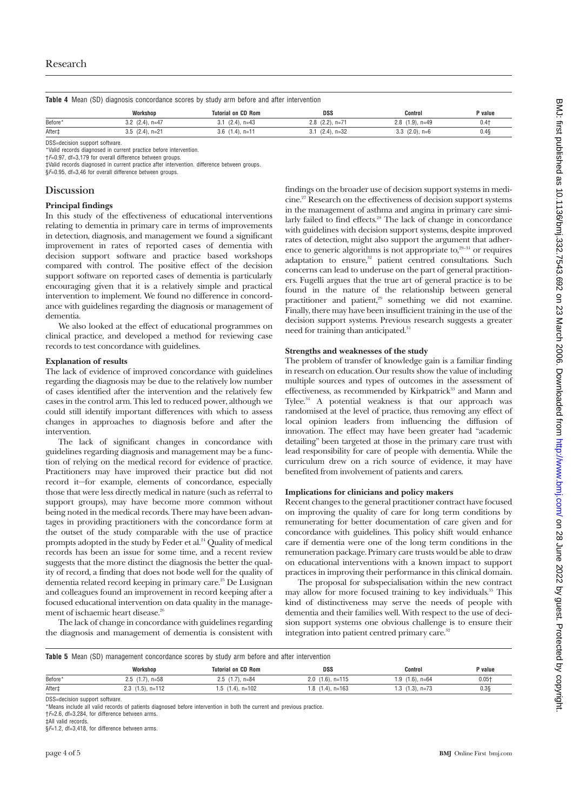**Table 4** Mean (SD) diagnosis concordance scores by study arm before and after intervention

|         | Workshop               | <b>Tutorial on CD Rom</b> | <b>DSS</b>           | Control               | <sup>o</sup> value |
|---------|------------------------|---------------------------|----------------------|-----------------------|--------------------|
| Before* | $3.2$ $(2.4)$ , $n=47$ | $3.1 \quad (2.4)$ , n=43  | $2.8$ $(2.2)$ , n=71 | $2.8$ (1.9), n=49     | 0.4                |
| After‡  | $3.5$ $(2.4)$ , n=21   | $3.6$ (1.4), n=11         | $(2.4)$ , n=32       | $3.3$ $(2.0)$ , $n=6$ | 0.48               |

DSS=decision support software.

\*Valid records diagnosed in current practice before intervention.

†F=0.97, df=3,179 for overall difference between groups.

‡Valid records diagnosed in current practice after intervention. difference between groups.

§F=0.95, df=3,46 for overall difference between groups.

# **Discussion**

#### **Principal findings**

In this study of the effectiveness of educational interventions relating to dementia in primary care in terms of improvements in detection, diagnosis, and management we found a significant improvement in rates of reported cases of dementia with decision support software and practice based workshops compared with control. The positive effect of the decision support software on reported cases of dementia is particularly encouraging given that it is a relatively simple and practical intervention to implement. We found no difference in concordance with guidelines regarding the diagnosis or management of dementia.

We also looked at the effect of educational programmes on clinical practice, and developed a method for reviewing case records to test concordance with guidelines.

#### **Explanation of results**

The lack of evidence of improved concordance with guidelines regarding the diagnosis may be due to the relatively low number of cases identified after the intervention and the relatively few cases in the control arm. This led to reduced power, although we could still identify important differences with which to assess changes in approaches to diagnosis before and after the intervention.

The lack of significant changes in concordance with guidelines regarding diagnosis and management may be a function of relying on the medical record for evidence of practice. Practitioners may have improved their practice but did not record it—for example, elements of concordance, especially those that were less directly medical in nature (such as referral to support groups), may have become more common without being noted in the medical records. There may have been advantages in providing practitioners with the concordance form at the outset of the study comparable with the use of practice prompts adopted in the study by Feder et al.<sup>24</sup> Quality of medical records has been an issue for some time, and a recent review suggests that the more distinct the diagnosis the better the quality of record, a finding that does not bode well for the quality of dementia related record keeping in primary care.25 De Lusignan and colleagues found an improvement in record keeping after a focused educational intervention on data quality in the management of ischaemic heart disease.<sup>26</sup>

The lack of change in concordance with guidelines regarding the diagnosis and management of dementia is consistent with findings on the broader use of decision support systems in medicine.27 Research on the effectiveness of decision support systems in the management of asthma and angina in primary care similarly failed to find effects.<sup>28</sup> The lack of change in concordance with guidelines with decision support systems, despite improved rates of detection, might also support the argument that adherence to generic algorithms is not appropriate to, $2^{9-31}$  or requires adaptation to ensure,<sup>32</sup> patient centred consultations. Such concerns can lead to underuse on the part of general practitioners. Fugelli argues that the true art of general practice is to be found in the nature of the relationship between general practitioner and patient,<sup>29</sup> something we did not examine. Finally, there may have been insufficient training in the use of the decision support systems. Previous research suggests a greater need for training than anticipated.<sup>31</sup>

#### **Strengths and weaknesses of the study**

The problem of transfer of knowledge gain is a familiar finding in research on education. Our results show the value of including multiple sources and types of outcomes in the assessment of effectiveness, as recommended by Kirkpatrick<sup>33</sup> and Mann and Tylee.<sup>34</sup> A potential weakness is that our approach was randomised at the level of practice, thus removing any effect of local opinion leaders from influencing the diffusion of innovation. The effect may have been greater had "academic detailing" been targeted at those in the primary care trust with lead responsibility for care of people with dementia. While the curriculum drew on a rich source of evidence, it may have benefited from involvement of patients and carers.

#### **Implications for clinicians and policy makers**

Recent changes to the general practitioner contract have focused on improving the quality of care for long term conditions by remunerating for better documentation of care given and for concordance with guidelines. This policy shift would enhance care if dementia were one of the long term conditions in the remuneration package. Primary care trusts would be able to draw on educational interventions with a known impact to support practices in improving their performance in this clinical domain.

The proposal for subspecialisation within the new contract may allow for more focused training to key individuals.<sup>35</sup> This kind of distinctiveness may serve the needs of people with dementia and their families well. With respect to the use of decision support systems one obvious challenge is to ensure their integration into patient centred primary care.<sup>3</sup>

| Table 5 Mean (SD) management concordance scores by study arm before and after intervention |                    |                           |                     |                    |         |  |
|--------------------------------------------------------------------------------------------|--------------------|---------------------------|---------------------|--------------------|---------|--|
|                                                                                            | Workshop           | <b>Tutorial on CD Rom</b> | <b>DSS</b>          | Control            | P value |  |
| Before*                                                                                    | $2.5$ (1.7), n=58  | $2.5$ (1.7), n=84         | $2.0$ (1.6), n=115  | 1.9 $(1.6)$ , n=64 | $0.05+$ |  |
| After‡                                                                                     | $2.3$ (1.5), n=112 | 1.5 $(1.4)$ , n=102       | 1.8 $(1.4)$ , n=163 | 1.3 $(1.3)$ , n=73 | $0.3$ § |  |

DSS=decision support software.

\*Means include all valid records of patients diagnosed before intervention in both the current and previous practice.

†F=2.6, df=3,284, for difference between arms.

‡All valid records.

§F=1.2, df=3,418, for difference between arms.